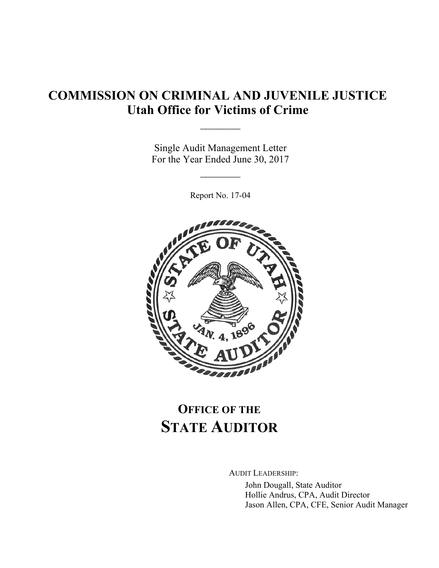# **COMMISSION ON CRIMINAL AND JUVENILE JUSTICE Utah Office for Victims of Crime**

Single Audit Management Letter For the Year Ended June 30, 2017

 $\mathcal{L}_\text{max}$ 

 $\frac{1}{2}$ 

Report No. 17-04



# **OFFICE OF THE STATE AUDITOR**

AUDIT LEADERSHIP:

John Dougall, State Auditor Hollie Andrus, CPA, Audit Director Jason Allen, CPA, CFE, Senior Audit Manager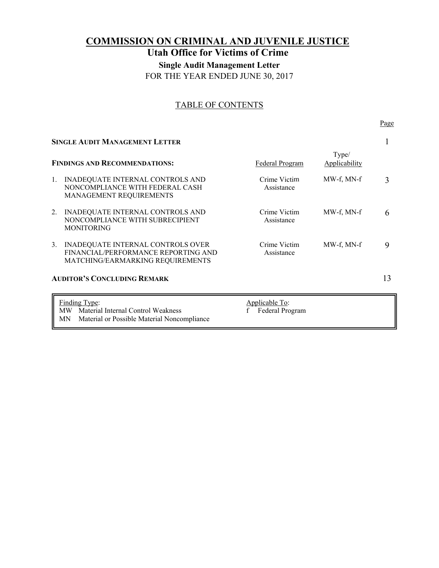# **COMMISSION ON CRIMINAL AND JUVENILE JUSTICE Utah Office for Victims of Crime Single Audit Management Letter**  FOR THE YEAR ENDED JUNE 30, 2017

# TABLE OF CONTENTS

| <b>SINGLE AUDIT MANAGEMENT LETTER</b> |                                                                                                              |                            |                        |   |
|---------------------------------------|--------------------------------------------------------------------------------------------------------------|----------------------------|------------------------|---|
|                                       | <b>FINDINGS AND RECOMMENDATIONS:</b>                                                                         | Federal Program            | Type/<br>Applicability | 3 |
| 1.                                    | INADEQUATE INTERNAL CONTROLS AND<br>NONCOMPLIANCE WITH FEDERAL CASH<br>MANAGEMENT REQUIREMENTS               | Crime Victim<br>Assistance | MW-f, MN-f             |   |
| 2.                                    | INADEQUATE INTERNAL CONTROLS AND<br>NONCOMPLIANCE WITH SUBRECIPIENT<br><b>MONITORING</b>                     | Crime Victim<br>Assistance | MW-f. MN-f             | 6 |
| 3.                                    | INADEQUATE INTERNAL CONTROLS OVER<br>FINANCIAL/PERFORMANCE REPORTING AND<br>MATCHING/EARMARKING REQUIREMENTS | Crime Victim<br>Assistance | MW-f, MN-f             | 9 |
|                                       | <b>AUDITOR'S CONCLUDING REMARK</b>                                                                           |                            |                        |   |

#### Page **Page**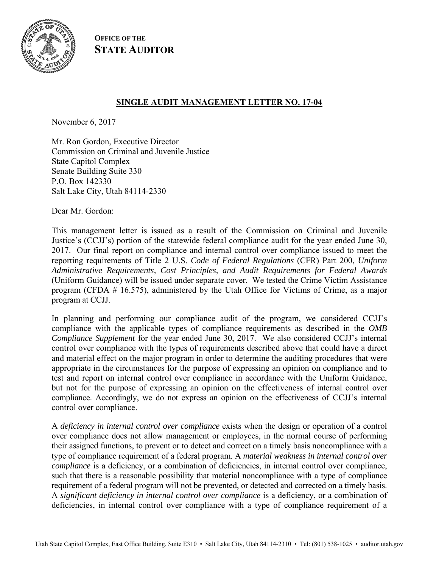

**OFFICE OF THE STATE AUDITOR**

# **SINGLE AUDIT MANAGEMENT LETTER NO. 17-04**

November 6, 2017

Mr. Ron Gordon, Executive Director Commission on Criminal and Juvenile Justice State Capitol Complex Senate Building Suite 330 P.O. Box 142330 Salt Lake City, Utah 84114-2330

Dear Mr. Gordon:

This management letter is issued as a result of the Commission on Criminal and Juvenile Justice's (CCJJ's) portion of the statewide federal compliance audit for the year ended June 30, 2017. Our final report on compliance and internal control over compliance issued to meet the reporting requirements of Title 2 U.S. *Code of Federal Regulations* (CFR) Part 200, *Uniform Administrative Requirements, Cost Principles, and Audit Requirements for Federal Awards* (Uniform Guidance) will be issued under separate cover. We tested the Crime Victim Assistance program (CFDA # 16.575), administered by the Utah Office for Victims of Crime, as a major program at CCJJ.

In planning and performing our compliance audit of the program, we considered CCJJ's compliance with the applicable types of compliance requirements as described in the *OMB Compliance Supplement* for the year ended June 30, 2017. We also considered CCJJ's internal control over compliance with the types of requirements described above that could have a direct and material effect on the major program in order to determine the auditing procedures that were appropriate in the circumstances for the purpose of expressing an opinion on compliance and to test and report on internal control over compliance in accordance with the Uniform Guidance, but not for the purpose of expressing an opinion on the effectiveness of internal control over compliance. Accordingly, we do not express an opinion on the effectiveness of CCJJ's internal control over compliance.

A *deficiency in internal control over compliance* exists when the design or operation of a control over compliance does not allow management or employees, in the normal course of performing their assigned functions, to prevent or to detect and correct on a timely basis noncompliance with a type of compliance requirement of a federal program. A *material weakness in internal control over compliance* is a deficiency, or a combination of deficiencies, in internal control over compliance, such that there is a reasonable possibility that material noncompliance with a type of compliance requirement of a federal program will not be prevented, or detected and corrected on a timely basis. A *significant deficiency in internal control over compliance* is a deficiency, or a combination of deficiencies, in internal control over compliance with a type of compliance requirement of a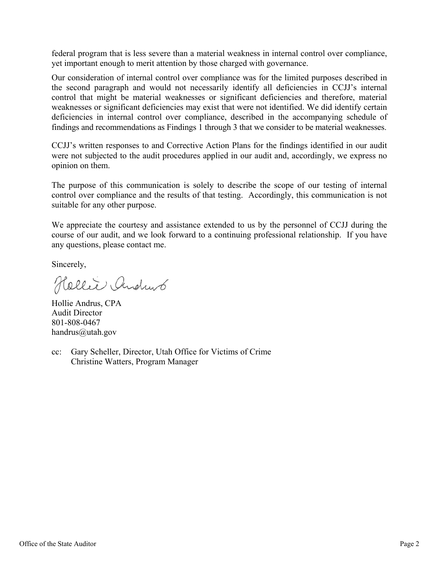federal program that is less severe than a material weakness in internal control over compliance, yet important enough to merit attention by those charged with governance.

Our consideration of internal control over compliance was for the limited purposes described in the second paragraph and would not necessarily identify all deficiencies in CCJJ's internal control that might be material weaknesses or significant deficiencies and therefore, material weaknesses or significant deficiencies may exist that were not identified. We did identify certain deficiencies in internal control over compliance, described in the accompanying schedule of findings and recommendations as Findings 1 through 3 that we consider to be material weaknesses.

CCJJ's written responses to and Corrective Action Plans for the findings identified in our audit were not subjected to the audit procedures applied in our audit and, accordingly, we express no opinion on them.

The purpose of this communication is solely to describe the scope of our testing of internal control over compliance and the results of that testing. Accordingly, this communication is not suitable for any other purpose.

We appreciate the courtesy and assistance extended to us by the personnel of CCJJ during the course of our audit, and we look forward to a continuing professional relationship. If you have any questions, please contact me.

Sincerely,

Hellie Andrus

Hollie Andrus, CPA Audit Director 801-808-0467 handrus@utah.gov

cc: Gary Scheller, Director, Utah Office for Victims of Crime Christine Watters, Program Manager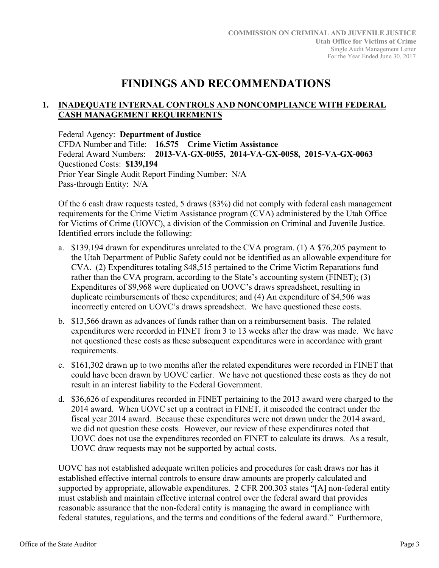# **FINDINGS AND RECOMMENDATIONS**

# **1. INADEQUATE INTERNAL CONTROLS AND NONCOMPLIANCE WITH FEDERAL CASH MANAGEMENT REQUIREMENTS**

Federal Agency: **Department of Justice**  CFDA Number and Title: **16.575 Crime Victim Assistance**  Federal Award Numbers: **2013-VA-GX-0055, 2014-VA-GX-0058, 2015-VA-GX-0063**  Questioned Costs: **\$139,194** Prior Year Single Audit Report Finding Number: N/A Pass-through Entity: N/A

Of the 6 cash draw requests tested, 5 draws (83%) did not comply with federal cash management requirements for the Crime Victim Assistance program (CVA) administered by the Utah Office for Victims of Crime (UOVC), a division of the Commission on Criminal and Juvenile Justice. Identified errors include the following:

- a. \$139,194 drawn for expenditures unrelated to the CVA program. (1) A \$76,205 payment to the Utah Department of Public Safety could not be identified as an allowable expenditure for CVA. (2) Expenditures totaling \$48,515 pertained to the Crime Victim Reparations fund rather than the CVA program, according to the State's accounting system (FINET); (3) Expenditures of \$9,968 were duplicated on UOVC's draws spreadsheet, resulting in duplicate reimbursements of these expenditures; and (4) An expenditure of \$4,506 was incorrectly entered on UOVC's draws spreadsheet. We have questioned these costs.
- b. \$13,566 drawn as advances of funds rather than on a reimbursement basis. The related expenditures were recorded in FINET from 3 to 13 weeks after the draw was made. We have not questioned these costs as these subsequent expenditures were in accordance with grant requirements.
- c. \$161,302 drawn up to two months after the related expenditures were recorded in FINET that could have been drawn by UOVC earlier. We have not questioned these costs as they do not result in an interest liability to the Federal Government.
- d. \$36,626 of expenditures recorded in FINET pertaining to the 2013 award were charged to the 2014 award. When UOVC set up a contract in FINET, it miscoded the contract under the fiscal year 2014 award. Because these expenditures were not drawn under the 2014 award, we did not question these costs. However, our review of these expenditures noted that UOVC does not use the expenditures recorded on FINET to calculate its draws. As a result, UOVC draw requests may not be supported by actual costs.

UOVC has not established adequate written policies and procedures for cash draws nor has it established effective internal controls to ensure draw amounts are properly calculated and supported by appropriate, allowable expenditures. 2 CFR 200.303 states "[A] non-federal entity must establish and maintain effective internal control over the federal award that provides reasonable assurance that the non-federal entity is managing the award in compliance with federal statutes, regulations, and the terms and conditions of the federal award." Furthermore,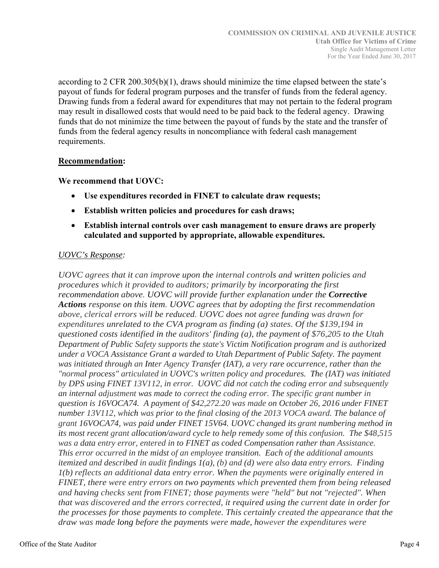according to 2 CFR 200.305(b)(1), draws should minimize the time elapsed between the state's payout of funds for federal program purposes and the transfer of funds from the federal agency. Drawing funds from a federal award for expenditures that may not pertain to the federal program may result in disallowed costs that would need to be paid back to the federal agency. Drawing funds that do not minimize the time between the payout of funds by the state and the transfer of funds from the federal agency results in noncompliance with federal cash management requirements.

#### **Recommendation:**

#### **We recommend that UOVC:**

- **Use expenditures recorded in FINET to calculate draw requests;**
- **Establish written policies and procedures for cash draws;**
- **Establish internal controls over cash management to ensure draws are properly calculated and supported by appropriate, allowable expenditures.**

# *UOVC's Response:*

*UOVC agrees that it can improve upon the internal controls and written policies and procedures which it provided to auditors; primarily by incorporating the first recommendation above. UOVC will provide further explanation under the Corrective Actions response on this item. UOVC agrees that by adopting the first recommendation above, clerical errors will be reduced. UOVC does not agree funding was drawn for expenditures unrelated to the CVA program as finding (a) states. Of the \$139,194 in questioned costs identified in the auditors' finding (a), the payment of \$76,205 to the Utah Department of Public Safety supports the state's Victim Notification program and is authorized under a VOCA Assistance Grant a warded to Utah Department of Public Safety. The payment was initiated through an Inter Agency Transfer (IAT), a very rare occurrence, rather than the "normal process" articulated in UOVC's written policy and procedures. The (IAT) was initiated by DPS using FINET 13V112, in error. UOVC did not catch the coding error and subsequently an internal adjustment was made to correct the coding error. The specific grant number in question is 16VOCA74. A payment of \$42,272.20 was made on October 26, 2016 under FINET number 13V112, which was prior to the final closing of the 2013 VOCA award. The balance of grant 16VOCA74, was paid under FINET 15V64. UOVC changed its grant numbering method in its most recent grant allocation/award cycle to help remedy some of this confusion. The \$48,515 was a data entry error, entered in to FINET as coded Compensation rather than Assistance. This error occurred in the midst of an employee transition. Each of the additional amounts itemized and described in audit findings 1(a), (b) and (d) were also data entry errors. Finding 1(b) reflects an additional data entry error. When the payments were originally entered in FINET, there were entry errors on two payments which prevented them from being released and having checks sent from FINET; those payments were "held" but not "rejected". When that was discovered and the errors corrected, it required using the current date in order for the processes for those payments to complete. This certainly created the appearance that the draw was made long before the payments were made, however the expenditures were*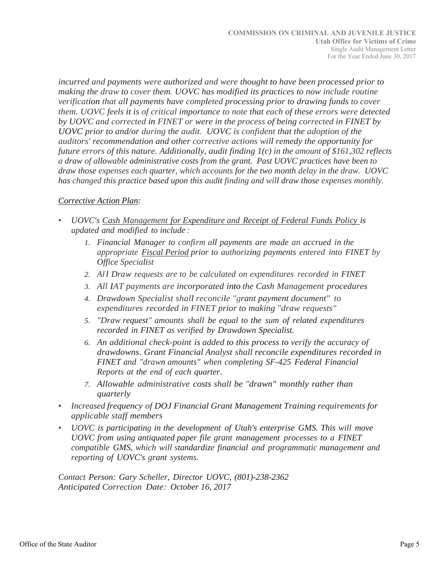*incurred and payments were authorized and were thought to have been processed prior to making the draw to cover them. UOVC has modified its practices to now include routine verification that all payments have completed processing prior to drawing funds to cover them. UOVC feels it is of critical importance to note that each of these errors were detected by UOVC and corrected in FINET or were in the process of being corrected in FINET by UOVC prior to and/or during the audit. UOVC is confident that the adoption of the auditors' recommendation and other corrective actions will remedy the opportunity for future errors of this nature. Additionally, audit finding 1(c) in the amount of \$161,302 reflects a draw of allowable administrative costs from the grant. Past UOVC practices have been to draw those expenses each quarter, which accounts for the two month delay in the draw. UOVC has changed this practice based upon this audit finding and will draw those expenses monthly.*

# *Corrective Action Plan:*

- *UOVC's Cash Management for Expenditure and Receipt of Federal Funds Policy is updated and modified to include :*
	- *1. Financial Manager to confirm all payments are made an accrued in the appropriate Fiscal Period prior to authorizing payments entered into FINET by Office Specialist*
	- *2. Al l Draw requests are to be calculated on expenditures recorded in FINET*
	- *3. All IAT payments are incorporated into the Cash Management procedures*
	- *4. Drawdown Specialist shall reconcile "grant payment document" to expenditures recorded in FINET prior to making "draw requests"*
	- *5. "Draw request" amounts shall be equal to the sum of related expenditures recorded in FINET as verified by Drawdown Specialist.*
	- *6. An additional check-point is added to this process to verify the accuracy of drawdowns. Grant Financial Analyst shall reconcile expenditures recorded in FINET and "drawn amounts" when completing SF-425 Federal Financial Reports at the end of each quarter.*
	- *7. Allowable administrative costs shall be "drawn" monthly rather than quarterly*
- *Increased frequency of DOJ Financial Grant Management Training requirements for applicable staff members*
- *UOVC is participating in the development of Utah's enterprise GMS. This will move UOVC from using antiquated paper file grant management processes to a FINET compatible GMS, which will standardize financial and programmatic management and reporting of UOVC's grant systems.*

*Contact Person: Gary Scheller, Director UOVC, (801)-238-2362 Anticipated Correction Date: October 16, 2017*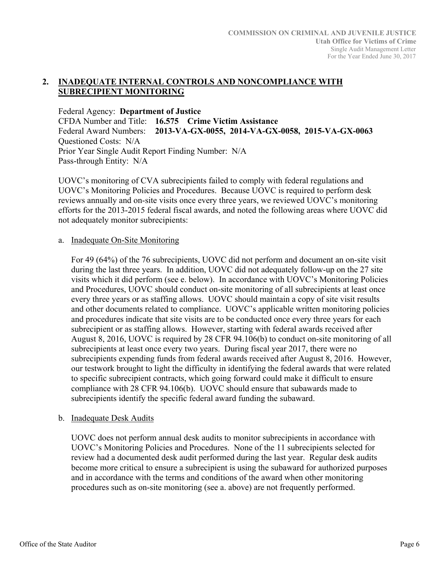#### **2. INADEQUATE INTERNAL CONTROLS AND NONCOMPLIANCE WITH SUBRECIPIENT MONITORING**

Federal Agency: **Department of Justice**  CFDA Number and Title: **16.575 Crime Victim Assistance**  Federal Award Numbers: **2013-VA-GX-0055, 2014-VA-GX-0058, 2015-VA-GX-0063**  Questioned Costs: N/A Prior Year Single Audit Report Finding Number: N/A Pass-through Entity: N/A

UOVC's monitoring of CVA subrecipients failed to comply with federal regulations and UOVC's Monitoring Policies and Procedures. Because UOVC is required to perform desk reviews annually and on-site visits once every three years, we reviewed UOVC's monitoring efforts for the 2013-2015 federal fiscal awards, and noted the following areas where UOVC did not adequately monitor subrecipients:

#### a. Inadequate On-Site Monitoring

For 49 (64%) of the 76 subrecipients, UOVC did not perform and document an on-site visit during the last three years. In addition, UOVC did not adequately follow-up on the 27 site visits which it did perform (see e. below). In accordance with UOVC's Monitoring Policies and Procedures, UOVC should conduct on-site monitoring of all subrecipients at least once every three years or as staffing allows. UOVC should maintain a copy of site visit results and other documents related to compliance. UOVC's applicable written monitoring policies and procedures indicate that site visits are to be conducted once every three years for each subrecipient or as staffing allows. However, starting with federal awards received after August 8, 2016, UOVC is required by 28 CFR 94.106(b) to conduct on-site monitoring of all subrecipients at least once every two years. During fiscal year 2017, there were no subrecipients expending funds from federal awards received after August 8, 2016. However, our testwork brought to light the difficulty in identifying the federal awards that were related to specific subrecipient contracts, which going forward could make it difficult to ensure compliance with 28 CFR 94.106(b). UOVC should ensure that subawards made to subrecipients identify the specific federal award funding the subaward.

# b. Inadequate Desk Audits

UOVC does not perform annual desk audits to monitor subrecipients in accordance with UOVC's Monitoring Policies and Procedures. None of the 11 subrecipients selected for review had a documented desk audit performed during the last year. Regular desk audits become more critical to ensure a subrecipient is using the subaward for authorized purposes and in accordance with the terms and conditions of the award when other monitoring procedures such as on-site monitoring (see a. above) are not frequently performed.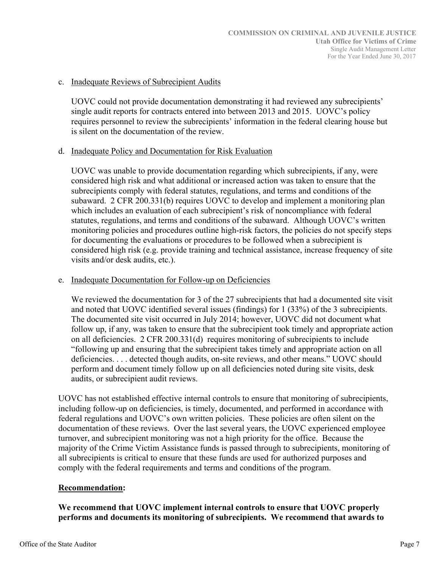#### c. Inadequate Reviews of Subrecipient Audits

UOVC could not provide documentation demonstrating it had reviewed any subrecipients' single audit reports for contracts entered into between 2013 and 2015. UOVC's policy requires personnel to review the subrecipients' information in the federal clearing house but is silent on the documentation of the review.

#### d. Inadequate Policy and Documentation for Risk Evaluation

UOVC was unable to provide documentation regarding which subrecipients, if any, were considered high risk and what additional or increased action was taken to ensure that the subrecipients comply with federal statutes, regulations, and terms and conditions of the subaward. 2 CFR 200.331(b) requires UOVC to develop and implement a monitoring plan which includes an evaluation of each subrecipient's risk of noncompliance with federal statutes, regulations, and terms and conditions of the subaward. Although UOVC's written monitoring policies and procedures outline high-risk factors, the policies do not specify steps for documenting the evaluations or procedures to be followed when a subrecipient is considered high risk (e.g. provide training and technical assistance, increase frequency of site visits and/or desk audits, etc.).

#### e. Inadequate Documentation for Follow-up on Deficiencies

We reviewed the documentation for 3 of the 27 subrecipients that had a documented site visit and noted that UOVC identified several issues (findings) for 1 (33%) of the 3 subrecipients. The documented site visit occurred in July 2014; however, UOVC did not document what follow up, if any, was taken to ensure that the subrecipient took timely and appropriate action on all deficiencies. 2 CFR 200.331(d) requires monitoring of subrecipients to include "following up and ensuring that the subrecipient takes timely and appropriate action on all deficiencies. . . . detected though audits, on-site reviews, and other means." UOVC should perform and document timely follow up on all deficiencies noted during site visits, desk audits, or subrecipient audit reviews.

UOVC has not established effective internal controls to ensure that monitoring of subrecipients, including follow-up on deficiencies, is timely, documented, and performed in accordance with federal regulations and UOVC's own written policies. These policies are often silent on the documentation of these reviews. Over the last several years, the UOVC experienced employee turnover, and subrecipient monitoring was not a high priority for the office. Because the majority of the Crime Victim Assistance funds is passed through to subrecipients, monitoring of all subrecipients is critical to ensure that these funds are used for authorized purposes and comply with the federal requirements and terms and conditions of the program.

# **Recommendation:**

**We recommend that UOVC implement internal controls to ensure that UOVC properly performs and documents its monitoring of subrecipients. We recommend that awards to**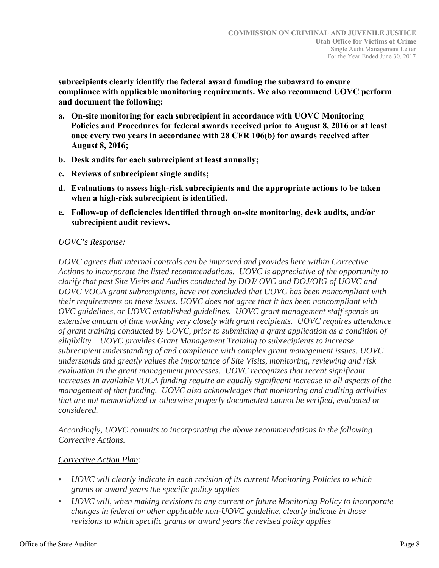**subrecipients clearly identify the federal award funding the subaward to ensure compliance with applicable monitoring requirements. We also recommend UOVC perform and document the following:** 

- **a. On-site monitoring for each subrecipient in accordance with UOVC Monitoring Policies and Procedures for federal awards received prior to August 8, 2016 or at least once every two years in accordance with 28 CFR 106(b) for awards received after August 8, 2016;**
- **b. Desk audits for each subrecipient at least annually;**
- **c. Reviews of subrecipient single audits;**
- **d. Evaluations to assess high-risk subrecipients and the appropriate actions to be taken when a high-risk subrecipient is identified.**
- **e. Follow-up of deficiencies identified through on-site monitoring, desk audits, and/or subrecipient audit reviews.**

#### *UOVC's Response:*

*UOVC agrees that internal controls can be improved and provides here within Corrective Actions to incorporate the listed recommendations. UOVC is appreciative of the opportunity to clarify that past Site Visits and Audits conducted by DOJ/ OVC and DOJ/OIG of UOVC and UOVC VOCA grant subrecipients, have not concluded that UOVC has been noncompliant with their requirements on these issues. UOVC does not agree that it has been noncompliant with OVC guidelines, or UOVC established guidelines. UOVC grant management staff spends an extensive amount of time working very closely with grant recipients. UOVC requires attendance of grant training conducted by UOVC, prior to submitting a grant application as a condition of eligibility. UOVC provides Grant Management Training to subrecipients to increase subrecipient understanding of and compliance with complex grant management issues. UOVC understands and greatly values the importance of Site Visits, monitoring, reviewing and risk evaluation in the grant management processes. UOVC recognizes that recent significant increases in available VOCA funding require an equally significant increase in all aspects of the management of that funding. UOVC also acknowledges that monitoring and auditing activities that are not memorialized or otherwise properly documented cannot be verified, evaluated or considered.* 

*Accordingly, UOVC commits to incorporating the above recommendations in the following Corrective Actions.* 

# *Corrective Action Plan:*

- *UOVC will clearly indicate in each revision of its current Monitoring Policies to which grants or award years the specific policy applies*
- *UOVC will, when making revisions to any current or future Monitoring Policy to incorporate changes in federal or other applicable non-UOVC guideline, clearly indicate in those revisions to which specific grants or award years the revised policy applies*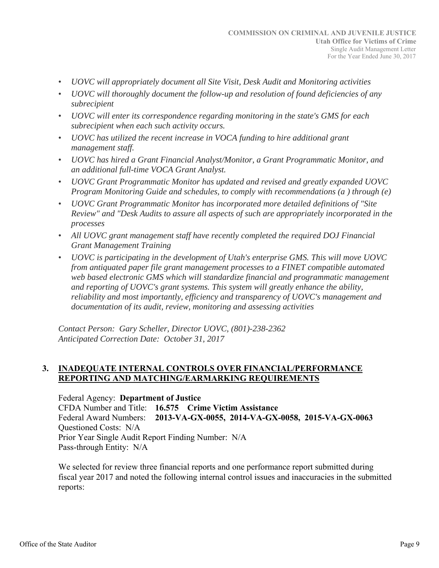- *UOVC will appropriately document all Site Visit, Desk Audit and Monitoring activities*
- *UOVC will thoroughly document the follow-up and resolution of found deficiencies of any subrecipient*
- *UOVC will enter its correspondence regarding monitoring in the state's GMS for each subrecipient when each such activity occurs.*
- *UOVC has utilized the recent increase in VOCA funding to hire additional grant management staff.*
- *UOVC has hired a Grant Financial Analyst/Monitor, a Grant Programmatic Monitor, and an additional full-time VOCA Grant Analyst.*
- *UOVC Grant Programmatic Monitor has updated and revised and greatly expanded UOVC Program Monitoring Guide and schedules, to comply with recommendations (a ) through (e)*
- *UOVC Grant Programmatic Monitor has incorporated more detailed definitions of "Site Review" and "Desk Audits to assure all aspects of such are appropriately incorporated in the processes*
- *All UOVC grant management staff have recently completed the required DOJ Financial Grant Management Training*
- *UOVC is participating in the development of Utah's enterprise GMS. This will move UOVC from antiquated paper file grant management processes to a FINET compatible automated*  web based electronic GMS which will standardize financial and programmatic management *and reporting of UOVC's grant systems. This system will greatly enhance the ability, reliability and most importantly, efficiency and transparency of UOVC's management and documentation of its audit, review, monitoring and assessing activities*

*Contact Person: Gary Scheller, Director UOVC, (801)-238-2362 Anticipated Correction Date: October 31, 2017* 

# **3. INADEQUATE INTERNAL CONTROLS OVER FINANCIAL/PERFORMANCE REPORTING AND MATCHING/EARMARKING REQUIREMENTS**

Federal Agency: **Department of Justice** 

CFDA Number and Title: **16.575 Crime Victim Assistance**  Federal Award Numbers: **2013-VA-GX-0055, 2014-VA-GX-0058, 2015-VA-GX-0063**  Questioned Costs: N/A Prior Year Single Audit Report Finding Number: N/A Pass-through Entity: N/A

We selected for review three financial reports and one performance report submitted during fiscal year 2017 and noted the following internal control issues and inaccuracies in the submitted reports: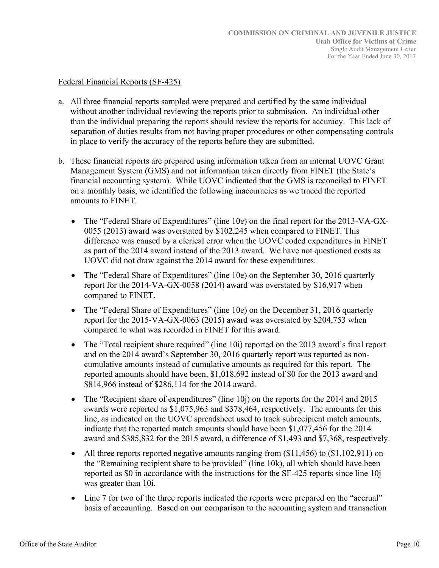#### Federal Financial Reports (SF-425)

- a. All three financial reports sampled were prepared and certified by the same individual without another individual reviewing the reports prior to submission. An individual other than the individual preparing the reports should review the reports for accuracy. This lack of separation of duties results from not having proper procedures or other compensating controls in place to verify the accuracy of the reports before they are submitted.
- b. These financial reports are prepared using information taken from an internal UOVC Grant Management System (GMS) and not information taken directly from FINET (the State's financial accounting system). While UOVC indicated that the GMS is reconciled to FINET on a monthly basis, we identified the following inaccuracies as we traced the reported amounts to FINET.
	- The "Federal Share of Expenditures" (line 10e) on the final report for the 2013-VA-GX-0055 (2013) award was overstated by \$102,245 when compared to FINET. This difference was caused by a clerical error when the UOVC coded expenditures in FINET as part of the 2014 award instead of the 2013 award. We have not questioned costs as UOVC did not draw against the 2014 award for these expenditures.
	- The "Federal Share of Expenditures" (line 10e) on the September 30, 2016 quarterly report for the 2014-VA-GX-0058 (2014) award was overstated by \$16,917 when compared to FINET.
	- The "Federal Share of Expenditures" (line 10e) on the December 31, 2016 quarterly report for the 2015-VA-GX-0063 (2015) award was overstated by \$204,753 when compared to what was recorded in FINET for this award.
	- The "Total recipient share required" (line 10i) reported on the 2013 award's final report and on the 2014 award's September 30, 2016 quarterly report was reported as noncumulative amounts instead of cumulative amounts as required for this report. The reported amounts should have been, \$1,018,692 instead of \$0 for the 2013 award and \$814,966 instead of \$286,114 for the 2014 award.
	- The "Recipient share of expenditures" (line 10j) on the reports for the 2014 and 2015 awards were reported as \$1,075,963 and \$378,464, respectively. The amounts for this line, as indicated on the UOVC spreadsheet used to track subrecipient match amounts, indicate that the reported match amounts should have been \$1,077,456 for the 2014 award and \$385,832 for the 2015 award, a difference of \$1,493 and \$7,368, respectively.
	- All three reports reported negative amounts ranging from (\$11,456) to (\$1,102,911) on the "Remaining recipient share to be provided" (line 10k), all which should have been reported as \$0 in accordance with the instructions for the SF-425 reports since line 10j was greater than 10i.
	- Line 7 for two of the three reports indicated the reports were prepared on the "accrual" basis of accounting. Based on our comparison to the accounting system and transaction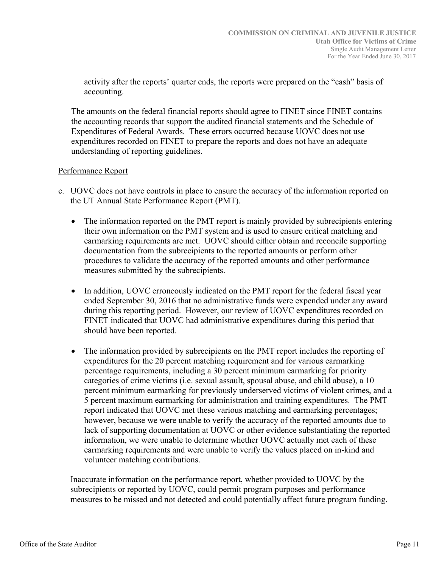activity after the reports' quarter ends, the reports were prepared on the "cash" basis of accounting.

The amounts on the federal financial reports should agree to FINET since FINET contains the accounting records that support the audited financial statements and the Schedule of Expenditures of Federal Awards. These errors occurred because UOVC does not use expenditures recorded on FINET to prepare the reports and does not have an adequate understanding of reporting guidelines.

#### Performance Report

- c. UOVC does not have controls in place to ensure the accuracy of the information reported on the UT Annual State Performance Report (PMT).
	- The information reported on the PMT report is mainly provided by subrecipients entering their own information on the PMT system and is used to ensure critical matching and earmarking requirements are met. UOVC should either obtain and reconcile supporting documentation from the subrecipients to the reported amounts or perform other procedures to validate the accuracy of the reported amounts and other performance measures submitted by the subrecipients.
	- In addition, UOVC erroneously indicated on the PMT report for the federal fiscal year ended September 30, 2016 that no administrative funds were expended under any award during this reporting period. However, our review of UOVC expenditures recorded on FINET indicated that UOVC had administrative expenditures during this period that should have been reported.
	- The information provided by subrecipients on the PMT report includes the reporting of expenditures for the 20 percent matching requirement and for various earmarking percentage requirements, including a 30 percent minimum earmarking for priority categories of crime victims (i.e. sexual assault, spousal abuse, and child abuse), a 10 percent minimum earmarking for previously underserved victims of violent crimes, and a 5 percent maximum earmarking for administration and training expenditures. The PMT report indicated that UOVC met these various matching and earmarking percentages; however, because we were unable to verify the accuracy of the reported amounts due to lack of supporting documentation at UOVC or other evidence substantiating the reported information, we were unable to determine whether UOVC actually met each of these earmarking requirements and were unable to verify the values placed on in-kind and volunteer matching contributions.

 Inaccurate information on the performance report, whether provided to UOVC by the subrecipients or reported by UOVC, could permit program purposes and performance measures to be missed and not detected and could potentially affect future program funding.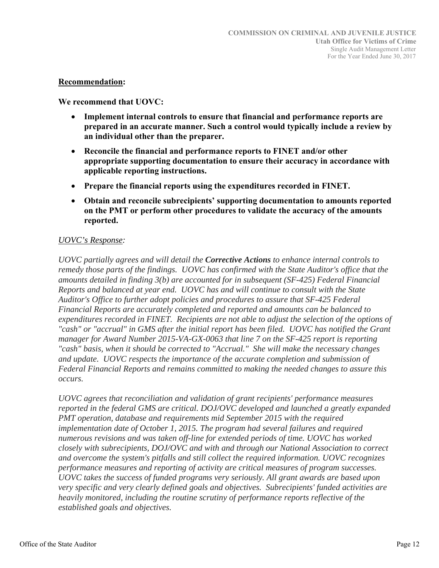#### **Recommendation:**

**We recommend that UOVC:** 

- **Implement internal controls to ensure that financial and performance reports are prepared in an accurate manner. Such a control would typically include a review by an individual other than the preparer.**
- **Reconcile the financial and performance reports to FINET and/or other appropriate supporting documentation to ensure their accuracy in accordance with applicable reporting instructions.**
- **Prepare the financial reports using the expenditures recorded in FINET.**
- **Obtain and reconcile subrecipients' supporting documentation to amounts reported on the PMT or perform other procedures to validate the accuracy of the amounts reported.**

# *UOVC's Response:*

*UOVC partially agrees and will detail the Corrective Actions to enhance internal controls to remedy those parts of the findings. UOVC has confirmed with the State Auditor's office that the amounts detailed in finding 3(b) are accounted for in subsequent (SF-425) Federal Financial Reports and balanced at year end. UOVC has and will continue to consult with the State Auditor's Office to further adopt policies and procedures to assure that SF-425 Federal Financial Reports are accurately completed and reported and amounts can be balanced to*  expenditures recorded in FINET. Recipients are not able to adjust the selection of the options of *"cash" or "accrual" in GMS after the initial report has been filed. UOVC has notified the Grant manager for Award Number 2015-VA-GX-0063 that line 7 on the SF-425 report is reporting "cash" basis, when it should be corrected to "Accrual." She will make the necessary changes and update. UOVC respects the importance of the accurate completion and submission of Federal Financial Reports and remains committed to making the needed changes to assure this occurs.* 

*UOVC agrees that reconciliation and validation of grant recipients' performance measures reported in the federal GMS are critical. DOJ/OVC developed and launched a greatly expanded PMT operation, database and requirements mid September 2015 with the required implementation date of October 1, 2015. The program had several failures and required numerous revisions and was taken off-line for extended periods of time. UOVC has worked closely with subrecipients, DOJ/OVC and with and through our National Association to correct and overcome the system's pitfalls and still collect the required information. UOVC recognizes performance measures and reporting of activity are critical measures of program successes. UOVC takes the success of funded programs very seriously. All grant awards are based upon very specific and very clearly defined goals and objectives. Subrecipients' funded activities are heavily monitored, including the routine scrutiny of performance reports reflective of the established goals and objectives.*